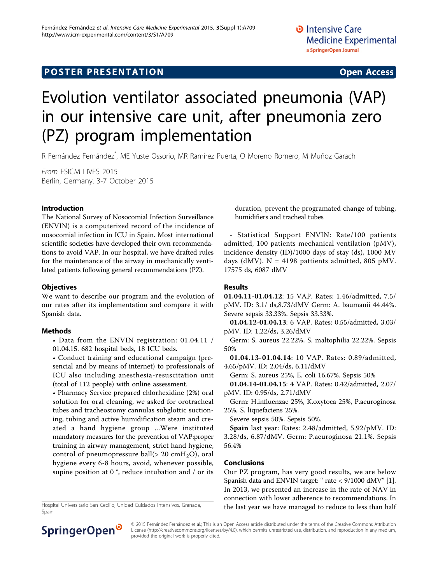# **POSTER PRESENTATION CONSUMING THE SERVICE SERVICE SERVICES**

# Evolution ventilator associated pneumonia (VAP) in our intensive care unit, after pneumonia zero (PZ) program implementation

R Fernández Fernández\* , ME Yuste Ossorio, MR Ramírez Puerta, O Moreno Romero, M Muñoz Garach

From ESICM LIVES 2015 Berlin, Germany. 3-7 October 2015

#### Introduction

The National Survey of Nosocomial Infection Surveillance (ENVIN) is a computerized record of the incidence of nosocomial infection in ICU in Spain. Most international scientific societies have developed their own recommendations to avoid VAP. In our hospital, we have drafted rules for the maintenance of the airway in mechanically ventilated patients following general recommendations (PZ).

#### **Objectives**

We want to describe our program and the evolution of our rates after its implementation and compare it with Spanish data.

#### Methods

• Data from the ENVIN registration: 01.04.11 / 01.04.15. 682 hospital beds, 18 ICU beds.

• Conduct training and educational campaign (presencial and by means of internet) to professionals of ICU also including anesthesia-resuscitation unit (total of 112 people) with online assessment.

• Pharmacy Service prepared chlorhexidine (2%) oral solution for oral cleaning, we asked for orotracheal tubes and tracheostomy cannulas subglottic suctioning, tubing and active humidification steam and created a hand hygiene group ...Were instituted mandatory measures for the prevention of VAP:proper training in airway management, strict hand hygiene, control of pneumopressure ball( $> 20 \text{ cm}H_2O$ ), oral hygiene every 6-8 hours, avoid, whenever possible, supine position at 0 °, reduce intubation and / or its

Spain

duration, prevent the programated change of tubing, humidifiers and tracheal tubes

- Statistical Support ENVIN: Rate/100 patients admitted, 100 patients mechanical ventilation (pMV), incidence density (ID)/1000 days of stay (ds), 1000 MV days (dMV).  $N = 4198$  pattients admitted, 805 pMV. 17575 ds, 6087 dMV

#### Results

01.04.11-01.04.12: 15 VAP. Rates: 1.46/admitted, 7.5/ pMV. ID: 3.1/ ds,8.73/dMV Germ: A. baumanii 44.44%. Severe sepsis 33.33%. Sepsis 33.33%.

01.04.12-01.04.13: 6 VAP. Rates: 0.55/admitted, 3.03/ pMV. ID: 1.22/ds, 3.26/dMV

Germ: S. aureus 22.22%, S. maltophilia 22.22%. Sepsis 50%

01.04.13-01.04.14: 10 VAP. Rates: 0.89/admitted, 4.65/pMV. ID: 2.04/ds, 6.11/dMV

Germ: S. aureus 25%, E. coli 16.67%. Sepsis 50%

01.04.14-01.04.15: 4 VAP. Rates: 0.42/admitted, 2.07/ pMV. ID: 0.95/ds, 2.71/dMV

Germ: H.influenzae 25%, K.oxytoca 25%, P.aeuroginosa 25%, S. liquefaciens 25%.

Severe sepsis 50%. Sepsis 50%.

Spain last year: Rates: 2.48/admitted, 5.92/pMV. ID: 3.28/ds, 6.87/dMV. Germ: P.aeuroginosa 21.1%. Sepsis 56.4%

### Conclusions

Our PZ program, has very good results, we are below Spanish data and ENVIN target: " rate < 9/1000 dMV" [[1](#page-1-0)]. In 2013, we presented an increase in the rate of NAV in connection with lower adherence to recommendations. In Hospital Universitario San Cecilio, Unidad Cuidados Intensivos, Granada, **the last year we have managed to reduce to less than half** 



© 2015 Fernández Fernández et al.; This is an Open Access article distributed under the terms of the Creative Commons Attribution License [\(http://creativecommons.org/licenses/by/4.0](http://creativecommons.org/licenses/by/4.0)), which permits unrestricted use, distribution, and reproduction in any medium, provided the original work is properly cited.